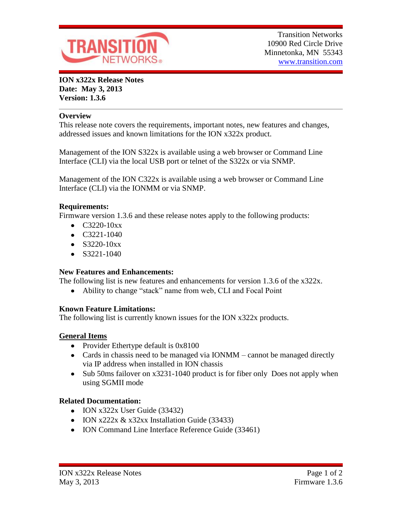

**ION x322x Release Notes Date: May 3, 2013 Version: 1.3.6**

### **Overview**

This release note covers the requirements, important notes, new features and changes, addressed issues and known limitations for the ION x322x product.

Management of the ION S322x is available using a web browser or Command Line Interface (CLI) via the local USB port or telnet of the S322x or via SNMP.

Management of the ION C322x is available using a web browser or Command Line Interface (CLI) via the IONMM or via SNMP.

### **Requirements:**

Firmware version 1.3.6 and these release notes apply to the following products:

- $\bullet$  C3220-10xx
- $\bullet$  C3221-1040
- $\bullet$  S3220-10xx
- $\bullet$  S3221-1040

# **New Features and Enhancements:**

The following list is new features and enhancements for version 1.3.6 of the x322x.

• Ability to change "stack" name from web, CLI and Focal Point

# **Known Feature Limitations:**

The following list is currently known issues for the ION x322x products.

# **General Items**

- Provider Ethertype default is 0x8100
- Cards in chassis need to be managed via IONMM cannot be managed directly via IP address when installed in ION chassis
- Sub 50ms failover on x3231-1040 product is for fiber only Does not apply when using SGMII mode

# **Related Documentation:**

- $\bullet$  ION x322x User Guide (33432)
- $\bullet$  ION x222x & x32xx Installation Guide (33433)
- ION Command Line Interface Reference Guide (33461)